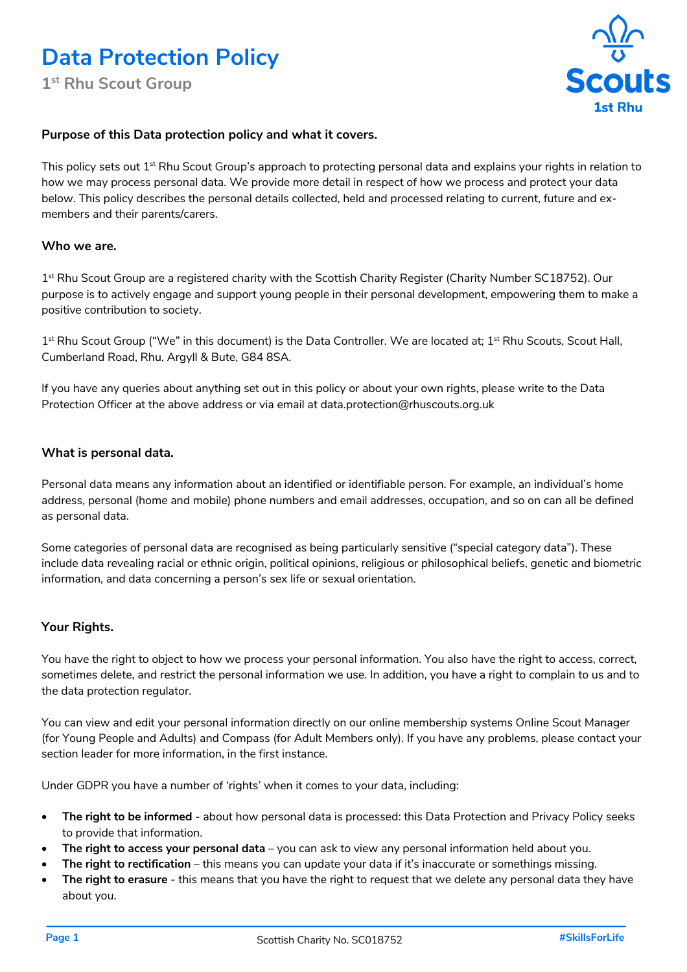**1st Rhu Scout Group**



## **Purpose of this Data protection policy and what it covers.**

This policy sets out 1<sup>st</sup> Rhu Scout Group's approach to protecting personal data and explains your rights in relation to how we may process personal data. We provide more detail in respect of how we process and protect your data below. This policy describes the personal details collected, held and processed relating to current, future and exmembers and their parents/carers.

### **Who we are.**

1<sup>st</sup> Rhu Scout Group are a registered charity with the Scottish Charity Register (Charity Number SC18752). Our purpose is to actively engage and support young people in their personal development, empowering them to make a positive contribution to society.

 $1<sup>st</sup>$  Rhu Scout Group ("We" in this document) is the Data Controller. We are located at;  $1<sup>st</sup>$  Rhu Scouts, Scout Hall, Cumberland Road, Rhu, Argyll & Bute, G84 8SA.

If you have any queries about anything set out in this policy or about your own rights, please write to the Data Protection Officer at the above address or via email at data.protection@rhuscouts.org.uk

#### **What is personal data.**

Personal data means any information about an identified or identifiable person. For example, an individual's home address, personal (home and mobile) phone numbers and email addresses, occupation, and so on can all be defined as personal data.

Some categories of personal data are recognised as being particularly sensitive ("special category data"). These include data revealing racial or ethnic origin, political opinions, religious or philosophical beliefs, genetic and biometric information, and data concerning a person's sex life or sexual orientation.

# **Your Rights.**

You have the right to object to how we process your personal information. You also have the right to access, correct, sometimes delete, and restrict the personal information we use. In addition, you have a right to complain to us and to the data protection regulator.

You can view and edit your personal information directly on our online membership systems Online Scout Manager (for Young People and Adults) and Compass (for Adult Members only). If you have any problems, please contact your section leader for more information, in the first instance.

Under GDPR you have a number of 'rights' when it comes to your data, including:

- **The right to be informed** about how personal data is processed: this Data Protection and Privacy Policy seeks to provide that information.
- **The right to access your personal data** you can ask to view any personal information held about you.
- **The right to rectification** this means you can update your data if it's inaccurate or somethings missing.
- **The right to erasure** this means that you have the right to request that we delete any personal data they have about you.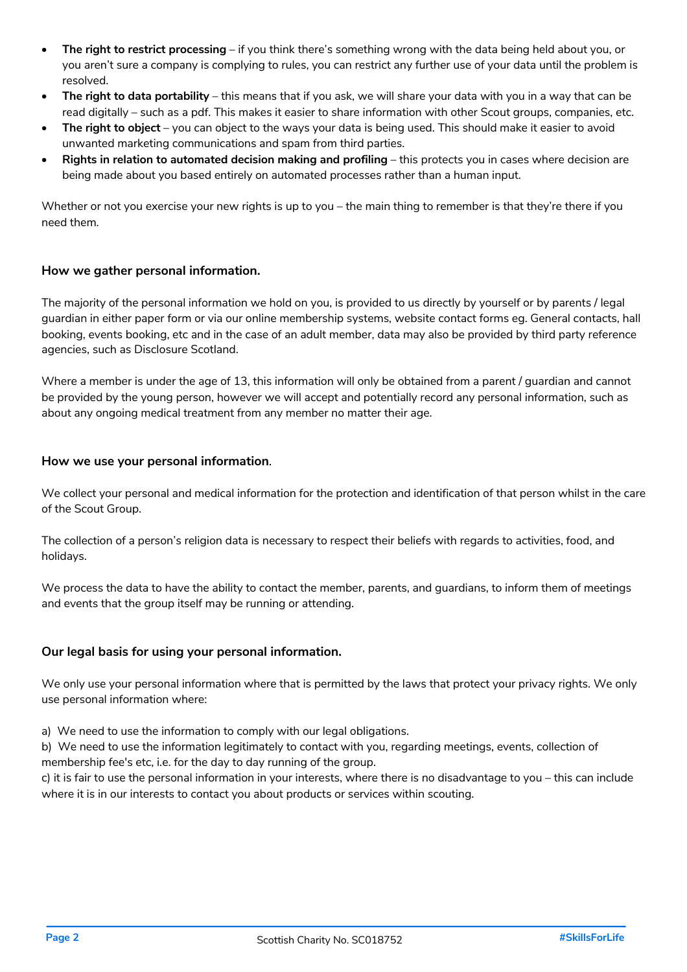- **The right to restrict processing** if you think there's something wrong with the data being held about you, or you aren't sure a company is complying to rules, you can restrict any further use of your data until the problem is resolved.
- **The right to data portability** this means that if you ask, we will share your data with you in a way that can be read digitally – such as a pdf. This makes it easier to share information with other Scout groups, companies, etc.
- **The right to object** you can object to the ways your data is being used. This should make it easier to avoid unwanted marketing communications and spam from third parties.
- **Rights in relation to automated decision making and profiling** this protects you in cases where decision are being made about you based entirely on automated processes rather than a human input.

Whether or not you exercise your new rights is up to you – the main thing to remember is that they're there if you need them.

## **How we gather personal information.**

The majority of the personal information we hold on you, is provided to us directly by yourself or by parents / legal guardian in either paper form or via our online membership systems, website contact forms eg. General contacts, hall booking, events booking, etc and in the case of an adult member, data may also be provided by third party reference agencies, such as Disclosure Scotland.

Where a member is under the age of 13, this information will only be obtained from a parent / quardian and cannot be provided by the young person, however we will accept and potentially record any personal information, such as about any ongoing medical treatment from any member no matter their age.

#### **How we use your personal information**.

We collect your personal and medical information for the protection and identification of that person whilst in the care of the Scout Group.

The collection of a person's religion data is necessary to respect their beliefs with regards to activities, food, and holidays.

We process the data to have the ability to contact the member, parents, and guardians, to inform them of meetings and events that the group itself may be running or attending.

## **Our legal basis for using your personal information.**

We only use your personal information where that is permitted by the laws that protect your privacy rights. We only use personal information where:

a) We need to use the information to comply with our legal obligations.

b) We need to use the information legitimately to contact with you, regarding meetings, events, collection of membership fee's etc, i.e. for the day to day running of the group.

c) it is fair to use the personal information in your interests, where there is no disadvantage to you – this can include where it is in our interests to contact you about products or services within scouting.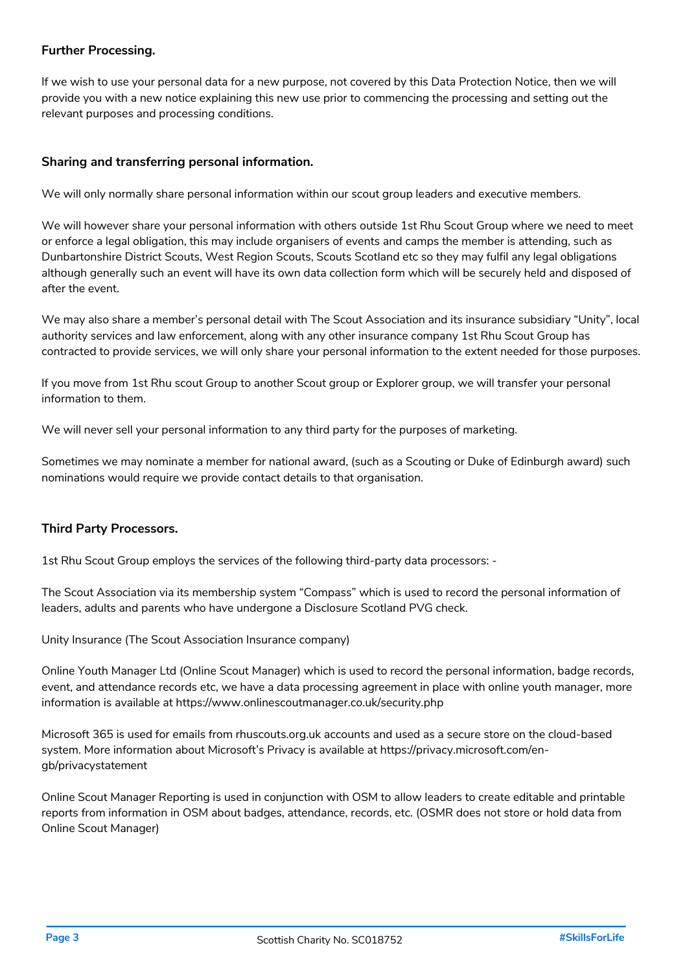## **Further Processing.**

If we wish to use your personal data for a new purpose, not covered by this Data Protection Notice, then we will provide you with a new notice explaining this new use prior to commencing the processing and setting out the relevant purposes and processing conditions.

# **Sharing and transferring personal information.**

We will only normally share personal information within our scout group leaders and executive members.

We will however share your personal information with others outside 1st Rhu Scout Group where we need to meet or enforce a legal obligation, this may include organisers of events and camps the member is attending, such as Dunbartonshire District Scouts, West Region Scouts, Scouts Scotland etc so they may fulfil any legal obligations although generally such an event will have its own data collection form which will be securely held and disposed of after the event.

We may also share a member's personal detail with The Scout Association and its insurance subsidiary "Unity", local authority services and law enforcement, along with any other insurance company 1st Rhu Scout Group has contracted to provide services, we will only share your personal information to the extent needed for those purposes.

If you move from 1st Rhu scout Group to another Scout group or Explorer group, we will transfer your personal information to them.

We will never sell your personal information to any third party for the purposes of marketing.

Sometimes we may nominate a member for national award, (such as a Scouting or Duke of Edinburgh award) such nominations would require we provide contact details to that organisation.

## **Third Party Processors.**

1st Rhu Scout Group employs the services of the following third-party data processors: -

The Scout Association via its membership system "Compass" which is used to record the personal information of leaders, adults and parents who have undergone a Disclosure Scotland PVG check.

Unity Insurance (The Scout Association Insurance company)

Online Youth Manager Ltd (Online Scout Manager) which is used to record the personal information, badge records, event, and attendance records etc, we have a data processing agreement in place with online youth manager, more information is available at https://www.onlinescoutmanager.co.uk/security.php

Microsoft 365 is used for emails from rhuscouts.org.uk accounts and used as a secure store on the cloud-based system. More information about Microsoft's Privacy is available at https://privacy.microsoft.com/engb/privacystatement

Online Scout Manager Reporting is used in conjunction with OSM to allow leaders to create editable and printable reports from information in OSM about badges, attendance, records, etc. (OSMR does not store or hold data from Online Scout Manager)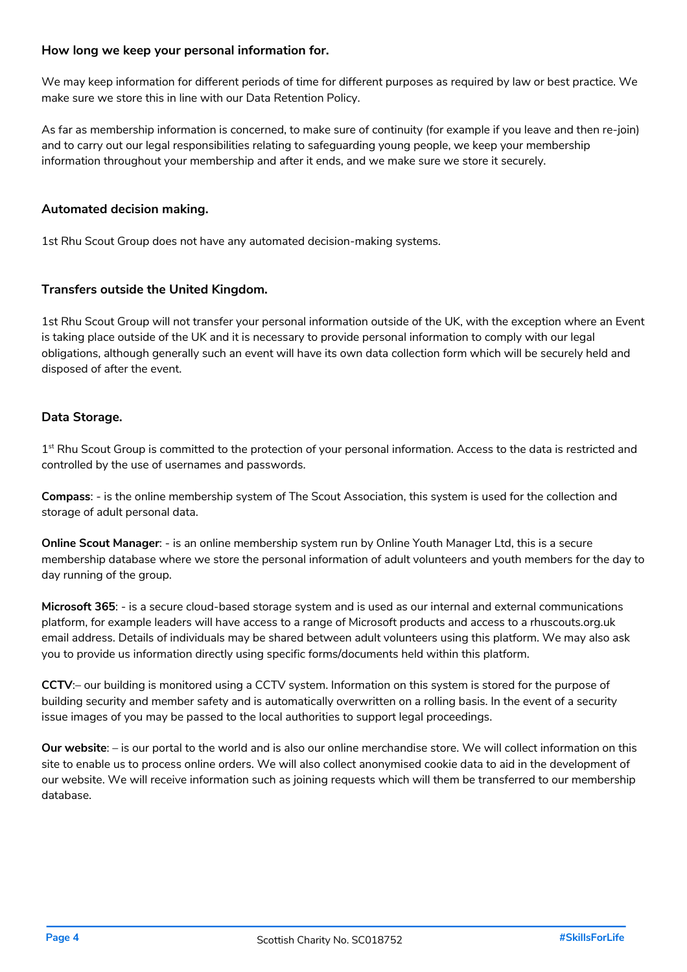## **How long we keep your personal information for.**

We may keep information for different periods of time for different purposes as required by law or best practice. We make sure we store this in line with our Data Retention Policy.

As far as membership information is concerned, to make sure of continuity (for example if you leave and then re-join) and to carry out our legal responsibilities relating to safeguarding young people, we keep your membership information throughout your membership and after it ends, and we make sure we store it securely.

# **Automated decision making.**

1st Rhu Scout Group does not have any automated decision-making systems.

# **Transfers outside the United Kingdom.**

1st Rhu Scout Group will not transfer your personal information outside of the UK, with the exception where an Event is taking place outside of the UK and it is necessary to provide personal information to comply with our legal obligations, although generally such an event will have its own data collection form which will be securely held and disposed of after the event.

# **Data Storage.**

 $1<sup>st</sup>$  Rhu Scout Group is committed to the protection of your personal information. Access to the data is restricted and controlled by the use of usernames and passwords.

**Compass**: - is the online membership system of The Scout Association, this system is used for the collection and storage of adult personal data.

**Online Scout Manager**: - is an online membership system run by Online Youth Manager Ltd, this is a secure membership database where we store the personal information of adult volunteers and youth members for the day to day running of the group.

**Microsoft 365**: - is a secure cloud-based storage system and is used as our internal and external communications platform, for example leaders will have access to a range of Microsoft products and access to a rhuscouts.org.uk email address. Details of individuals may be shared between adult volunteers using this platform. We may also ask you to provide us information directly using specific forms/documents held within this platform.

**CCTV**:– our building is monitored using a CCTV system. Information on this system is stored for the purpose of building security and member safety and is automatically overwritten on a rolling basis. In the event of a security issue images of you may be passed to the local authorities to support legal proceedings.

**Our website**: – is our portal to the world and is also our online merchandise store. We will collect information on this site to enable us to process online orders. We will also collect anonymised cookie data to aid in the development of our website. We will receive information such as joining requests which will them be transferred to our membership database.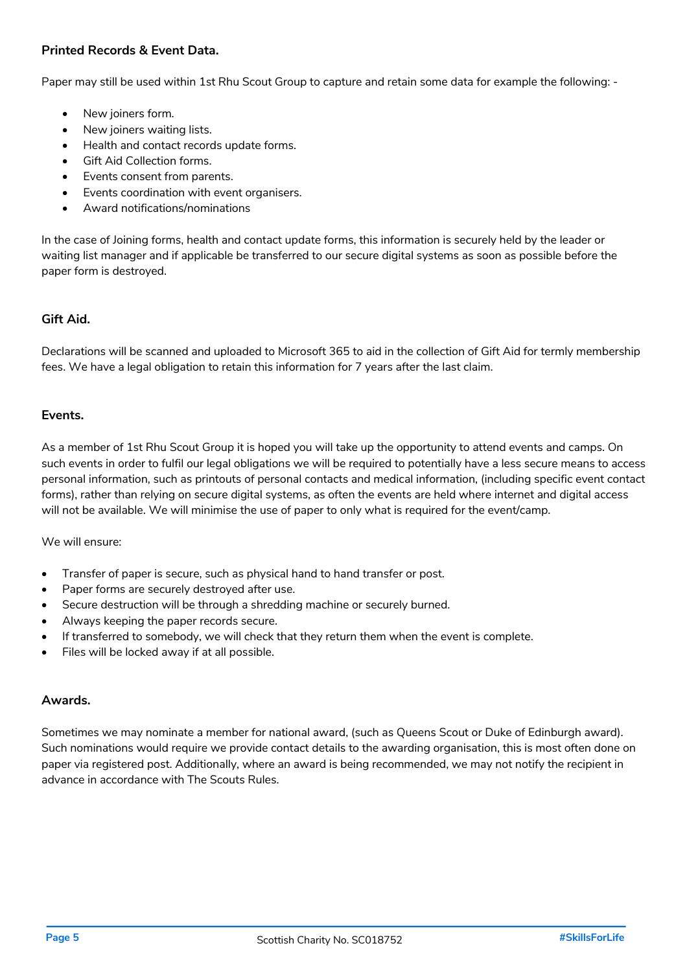# **Printed Records & Event Data.**

Paper may still be used within 1st Rhu Scout Group to capture and retain some data for example the following: -

- New joiners form.
- New joiners waiting lists.
- Health and contact records update forms.
- Gift Aid Collection forms.
- Events consent from parents.
- Events coordination with event organisers.
- Award notifications/nominations

In the case of Joining forms, health and contact update forms, this information is securely held by the leader or waiting list manager and if applicable be transferred to our secure digital systems as soon as possible before the paper form is destroyed.

### **Gift Aid.**

Declarations will be scanned and uploaded to Microsoft 365 to aid in the collection of Gift Aid for termly membership fees. We have a legal obligation to retain this information for 7 years after the last claim.

### **Events.**

As a member of 1st Rhu Scout Group it is hoped you will take up the opportunity to attend events and camps. On such events in order to fulfil our legal obligations we will be required to potentially have a less secure means to access personal information, such as printouts of personal contacts and medical information, (including specific event contact forms), rather than relying on secure digital systems, as often the events are held where internet and digital access will not be available. We will minimise the use of paper to only what is required for the event/camp.

We will ensure:

- Transfer of paper is secure, such as physical hand to hand transfer or post.
- Paper forms are securely destroyed after use.
- Secure destruction will be through a shredding machine or securely burned.
- Always keeping the paper records secure.
- If transferred to somebody, we will check that they return them when the event is complete.
- Files will be locked away if at all possible.

### **Awards.**

Sometimes we may nominate a member for national award, (such as Queens Scout or Duke of Edinburgh award). Such nominations would require we provide contact details to the awarding organisation, this is most often done on paper via registered post. Additionally, where an award is being recommended, we may not notify the recipient in advance in accordance with The Scouts Rules.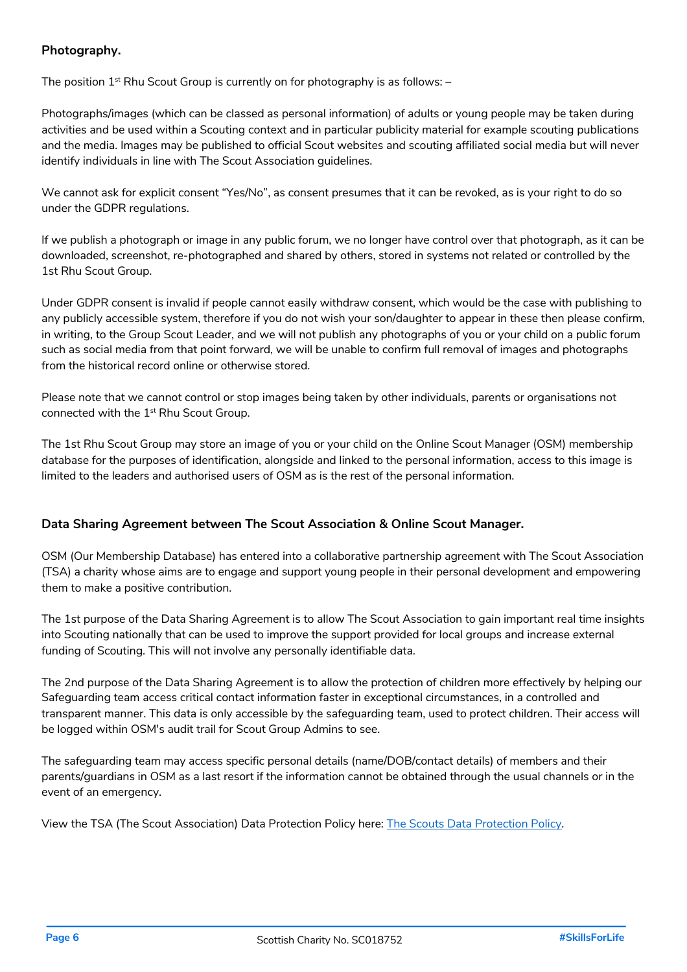# **Photography.**

The position  $1^{st}$  Rhu Scout Group is currently on for photography is as follows:  $-$ 

Photographs/images (which can be classed as personal information) of adults or young people may be taken during activities and be used within a Scouting context and in particular publicity material for example scouting publications and the media. Images may be published to official Scout websites and scouting affiliated social media but will never identify individuals in line with The Scout Association guidelines.

We cannot ask for explicit consent "Yes/No", as consent presumes that it can be revoked, as is your right to do so under the GDPR regulations.

If we publish a photograph or image in any public forum, we no longer have control over that photograph, as it can be downloaded, screenshot, re-photographed and shared by others, stored in systems not related or controlled by the 1st Rhu Scout Group.

Under GDPR consent is invalid if people cannot easily withdraw consent, which would be the case with publishing to any publicly accessible system, therefore if you do not wish your son/daughter to appear in these then please confirm, in writing, to the Group Scout Leader, and we will not publish any photographs of you or your child on a public forum such as social media from that point forward, we will be unable to confirm full removal of images and photographs from the historical record online or otherwise stored.

Please note that we cannot control or stop images being taken by other individuals, parents or organisations not connected with the 1<sup>st</sup> Rhu Scout Group.

The 1st Rhu Scout Group may store an image of you or your child on the Online Scout Manager (OSM) membership database for the purposes of identification, alongside and linked to the personal information, access to this image is limited to the leaders and authorised users of OSM as is the rest of the personal information.

## **Data Sharing Agreement between The Scout Association & Online Scout Manager.**

OSM (Our Membership Database) has entered into a collaborative partnership agreement with The Scout Association (TSA) a charity whose aims are to engage and support young people in their personal development and empowering them to make a positive contribution.

The 1st purpose of the Data Sharing Agreement is to allow The Scout Association to gain important real time insights into Scouting nationally that can be used to improve the support provided for local groups and increase external funding of Scouting. This will not involve any personally identifiable data.

The 2nd purpose of the Data Sharing Agreement is to allow the protection of children more effectively by helping our Safeguarding team access critical contact information faster in exceptional circumstances, in a controlled and transparent manner. This data is only accessible by the safeguarding team, used to protect children. Their access will be logged within OSM's audit trail for Scout Group Admins to see.

The safeguarding team may access specific personal details (name/DOB/contact details) of members and their parents/guardians in OSM as a last resort if the information cannot be obtained through the usual channels or in the event of an emergency.

View the TSA (The Scout Association) Data Protection Policy here: The Scouts Data Protection Policy.